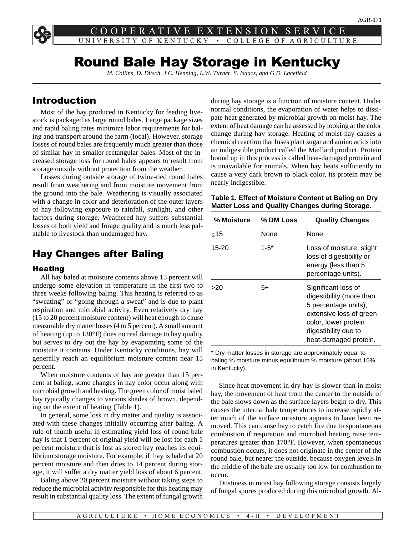COOPERATIVE EXTENSION S. ER UNIVERSITY OF KENTUCKY • COLLEGE OF AGRICULTURE

# Round Bale Hay Storage in Kentucky

*M. Collins, D. Ditsch, J.C. Henning, L.W. Turner, S. Isaacs, and G.D. Lacefield*

## Introduction

Most of the hay produced in Kentucky for feeding livestock is packaged as large round bales. Large package sizes and rapid baling rates minimize labor requirements for baling and transport around the farm (local). However, storage losses of round bales are frequently much greater than those of similar hay in smaller rectangular bales. Most of the increased storage loss for round bales appears to result from storage outside without protection from the weather.

Losses during outside storage of twine-tied round bales result from weathering and from moisture movement from the ground into the bale. Weathering is visually associated with a change in color and deterioration of the outer layers of hay following exposure to rainfall, sunlight, and other factors during storage. Weathered hay suffers substantial losses of both yield and forage quality and is much less palatable to livestock than undamaged hay.

## Hay Changes after Baling

#### Heating

All hay baled at moisture contents above 15 percent will undergo some elevation in temperature in the first two to three weeks following baling. This heating is referred to as "sweating" or "going through a sweat" and is due to plant respiration and microbial activity. Even relatively dry hay (15 to 20 percent moisture content) will heat enough to cause measurable dry matter losses (4 to 5 percent). A small amount of heating (up to 130°F) does no real damage to hay quality but serves to dry out the hay by evaporating some of the moisture it contains. Under Kentucky conditions, hay will generally reach an equilibrium moisture content near 15 percent.

When moisture contents of hay are greater than 15 percent at baling, some changes in hay color occur along with microbial growth and heating. The green color of moist baled hay typically changes to various shades of brown, depending on the extent of heating (Table 1).

In general, some loss in dry matter and quality is associated with these changes initially occurring after baling. A rule-of thumb useful in estimating yield loss of round bale hay is that 1 percent of original yield will be lost for each 1 percent moisture that is lost as stored hay reaches its equilibrium storage moisture. For example, if hay is baled at 20 percent moisture and then dries to 14 percent during storage, it will suffer a dry matter yield loss of about 6 percent.

Baling above 20 percent moisture without taking steps to reduce the microbial activity responsible for this heating may result in substantial quality loss. The extent of fungal growth during hay storage is a function of moisture content. Under normal conditions, the evaporation of water helps to dissipate heat generated by microbial growth on moist hay. The extent of heat damage can be assessed by looking at the color change during hay storage. Heating of moist hay causes a chemical reaction that fuses plant sugar and amino acids into an indigestible product called the Maillard product. Protein bound up in this process is called heat-damaged protein and is unavailable for animals. When hay heats sufficiently to cause a very dark brown to black color, its protein may be nearly indigestible.

**Table 1. Effect of Moisture Content at Baling on Dry Matter Loss and Quality Changes during Storage.**

| % Moisture | % DM Loss | <b>Quality Changes</b>                                                                                                                                                      |
|------------|-----------|-----------------------------------------------------------------------------------------------------------------------------------------------------------------------------|
| $<$ 15     | None      | None                                                                                                                                                                        |
| 15-20      | $1 - 5^*$ | Loss of moisture, slight<br>loss of digestibility or<br>energy (less than 5<br>percentage units).                                                                           |
| >20        | 5+        | Significant loss of<br>digestibility (more than<br>5 percentage units),<br>extensive loss of green<br>color, lower protein<br>digestibility due to<br>heat-damaged protein. |

\* Dry matter losses in storage are approximately equal to baling % moisture minus equilibrium % moisture (about 15% in Kentucky).

Since heat movement in dry hay is slower than in moist hay, the movement of heat from the center to the outside of the bale slows down as the surface layers begin to dry. This causes the internal bale temperatures to increase rapidly after much of the surface moisture appears to have been removed. This can cause hay to catch fire due to spontaneous combustion if respiration and microbial heating raise temperatures greater than 170°F. However, when spontaneous combustion occurs, it does not originate in the center of the round bale, but nearer the outside, because oxygen levels in the middle of the bale are usually too low for combustion to occur.

Dustiness in moist hay following storage consists largely of fungal spores produced during this microbial growth. Al-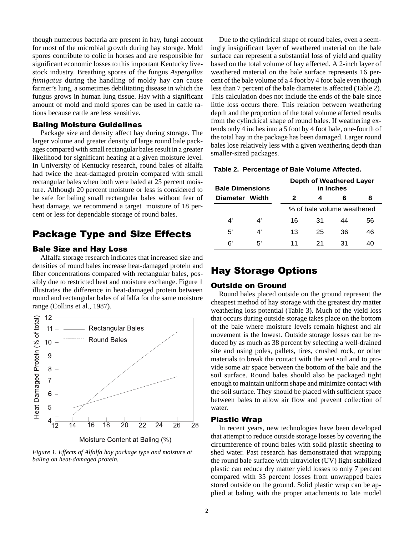though numerous bacteria are present in hay, fungi account for most of the microbial growth during hay storage. Mold spores contribute to colic in horses and are responsible for significant economic losses to this important Kentucky livestock industry. Breathing spores of the fungus *Aspergillus fumigatus* during the handling of moldy hay can cause farmer's lung, a sometimes debilitating disease in which the fungus grows in human lung tissue. Hay with a significant amount of mold and mold spores can be used in cattle rations because cattle are less sensitive.

#### Baling Moisture Guidelines

Package size and density affect hay during storage. The larger volume and greater density of large round bale packages compared with small rectangular bales result in a greater likelihood for significant heating at a given moisture level. In University of Kentucky research, round bales of alfalfa had twice the heat-damaged protein compared with small rectangular bales when both were baled at 25 percent moisture. Although 20 percent moisture or less is considered to be safe for baling small rectangular bales without fear of heat damage, we recommend a target moisture of 18 percent or less for dependable storage of round bales.

## Package Type and Size Effects

### Bale Size and Hay Loss

Alfalfa storage research indicates that increased size and densities of round bales increase heat-damaged protein and fiber concentrations compared with rectangular bales, possibly due to restricted heat and moisture exchange. Figure 1 illustrates the difference in heat-damaged protein between round and rectangular bales of alfalfa for the same moisture range (Collins et al., 1987).



*Figure 1. Effects of Alfalfa hay package type and moisture at baling on heat-damaged protein.*

Due to the cylindrical shape of round bales, even a seemingly insignificant layer of weathered material on the bale surface can represent a substantial loss of yield and quality based on the total volume of hay affected. A 2-inch layer of weathered material on the bale surface represents 16 percent of the bale volume of a 4 foot by 4 foot bale even though less than 7 percent of the bale diameter is affected (Table 2). This calculation does not include the ends of the bale since little loss occurs there. This relation between weathering depth and the proportion of the total volume affected results from the cylindrical shape of round bales. If weathering extends only 4 inches into a 5 foot by 4 foot bale, one-fourth of the total hay in the package has been damaged. Larger round bales lose relatively less with a given weathering depth than smaller-sized packages.

|  | Table 2. Percentage of Bale Volume Affected. |  |  |  |
|--|----------------------------------------------|--|--|--|
|--|----------------------------------------------|--|--|--|

| <b>Bale Dimensions</b> |    | Depth of Weathered Layer<br>in Inches |                            |    |    |  |  |  |  |
|------------------------|----|---------------------------------------|----------------------------|----|----|--|--|--|--|
| Diameter Width         |    | 2                                     | 8<br>6                     |    |    |  |  |  |  |
|                        |    |                                       | % of bale volume weathered |    |    |  |  |  |  |
| 4'                     | 4' | 16                                    | 31                         | 44 | 56 |  |  |  |  |
| 5'                     | 4' | 13                                    | 25                         | 36 | 46 |  |  |  |  |
| 6'                     | 5' | 11                                    | 21                         | 31 | 40 |  |  |  |  |

## Hay Storage Options

### Outside on Ground

Round bales placed outside on the ground represent the cheapest method of hay storage with the greatest dry matter weathering loss potential (Table 3). Much of the yield loss that occurs during outside storage takes place on the bottom of the bale where moisture levels remain highest and air movement is the lowest. Outside storage losses can be reduced by as much as 38 percent by selecting a well-drained site and using poles, pallets, tires, crushed rock, or other materials to break the contact with the wet soil and to provide some air space between the bottom of the bale and the soil surface. Round bales should also be packaged tight enough to maintain uniform shape and minimize contact with the soil surface. They should be placed with sufficient space between bales to allow air flow and prevent collection of water.

### Plastic Wrap

In recent years, new technologies have been developed that attempt to reduce outside storage losses by covering the circumference of round bales with solid plastic sheeting to shed water. Past research has demonstrated that wrapping the round bale surface with ultraviolet (UV) light-stabilized plastic can reduce dry matter yield losses to only 7 percent compared with 35 percent losses from unwrapped bales stored outside on the ground. Solid plastic wrap can be applied at baling with the proper attachments to late model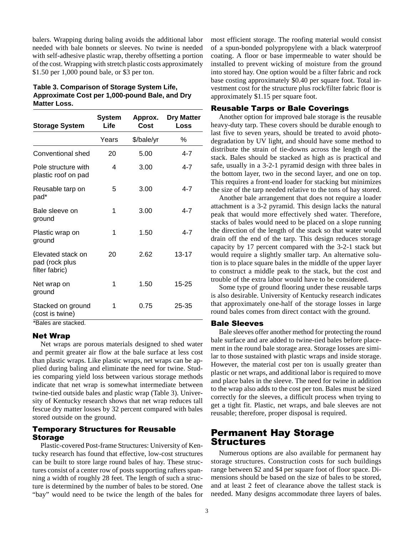balers. Wrapping during baling avoids the additional labor needed with bale bonnets or sleeves. No twine is needed with self-adhesive plastic wrap, thereby offsetting a portion of the cost. Wrapping with stretch plastic costs approximately \$1.50 per 1,000 pound bale, or \$3 per ton.

### **Table 3. Comparison of Storage System Life, Approximate Cost per 1,000-pound Bale, and Dry Matter Loss.**

| <b>Storage System</b>                                 | <b>System</b><br>Life | Approx.<br>Cost | <b>Dry Matter</b><br>Loss |
|-------------------------------------------------------|-----------------------|-----------------|---------------------------|
|                                                       | Years                 | \$/bale/yr      | ℅                         |
| Conventional shed                                     | 20                    | 5.00            | 4-7                       |
| Pole structure with<br>plastic roof on pad            | 4                     | 3.00            | $4 - 7$                   |
| Reusable tarp on<br>pad*                              | 5                     | 3.00            | $4 - 7$                   |
| Bale sleeve on<br>ground                              | 1                     | 3.00            | $4 - 7$                   |
| Plastic wrap on<br>ground                             | 1                     | 1.50            | $4 - 7$                   |
| Elevated stack on<br>pad (rock plus<br>filter fabric) | 20                    | 2.62            | $13 - 17$                 |
| Net wrap on<br>ground                                 | 1                     | 1.50            | 15-25                     |
| Stacked on ground<br>(cost is twine)                  | 1                     | 0.75            | 25-35                     |

\*Bales are stacked.

#### Net Wrap

Net wraps are porous materials designed to shed water and permit greater air flow at the bale surface at less cost than plastic wraps. Like plastic wraps, net wraps can be applied during baling and eliminate the need for twine. Studies comparing yield loss between various storage methods indicate that net wrap is somewhat intermediate between twine-tied outside bales and plastic wrap (Table 3). University of Kentucky research shows that net wrap reduces tall fescue dry matter losses by 32 percent compared with bales stored outside on the ground.

### Temporary Structures for Reusable Storage

Plastic-covered Post-frame Structures: University of Kentucky research has found that effective, low-cost structures can be built to store large round bales of hay. These structures consist of a center row of posts supporting rafters spanning a width of roughly 28 feet. The length of such a structure is determined by the number of bales to be stored. One "bay" would need to be twice the length of the bales for

most efficient storage. The roofing material would consist of a spun-bonded polypropylene with a black waterproof coating. A floor or base impermeable to water should be installed to prevent wicking of moisture from the ground into stored hay. One option would be a filter fabric and rock base costing approximately \$0.40 per square foot. Total investment cost for the structure plus rock/filter fabric floor is approximately \$1.15 per square foot.

#### Reusable Tarps or Bale Coverings

Another option for improved bale storage is the reusable heavy-duty tarp. These covers should be durable enough to last five to seven years, should be treated to avoid photodegradation by UV light, and should have some method to distribute the strain of tie-downs across the length of the stack. Bales should be stacked as high as is practical and safe, usually in a 3-2-1 pyramid design with three bales in the bottom layer, two in the second layer, and one on top. This requires a front-end loader for stacking but minimizes the size of the tarp needed relative to the tons of hay stored.

Another bale arrangement that does not require a loader attachment is a 3-2 pyramid. This design lacks the natural peak that would more effectively shed water. Therefore, stacks of bales would need to be placed on a slope running the direction of the length of the stack so that water would drain off the end of the tarp. This design reduces storage capacity by 17 percent compared with the 3-2-1 stack but would require a slightly smaller tarp. An alternative solution is to place square bales in the middle of the upper layer to construct a middle peak to the stack, but the cost and trouble of the extra labor would have to be considered.

Some type of ground flooring under these reusable tarps is also desirable. University of Kentucky research indicates that approximately one-half of the storage losses in large round bales comes from direct contact with the ground.

#### Bale Sleeves

Bale sleeves offer another method for protecting the round bale surface and are added to twine-tied bales before placement in the round bale storage area. Storage losses are similar to those sustained with plastic wraps and inside storage. However, the material cost per ton is usually greater than plastic or net wraps, and additional labor is required to move and place bales in the sleeve. The need for twine in addition to the wrap also adds to the cost per ton. Bales must be sized correctly for the sleeves, a difficult process when trying to get a tight fit. Plastic, net wraps, and bale sleeves are not reusable; therefore, proper disposal is required.

### Permanent Hay Storage Structures

Numerous options are also available for permanent hay storage structures. Construction costs for such buildings range between \$2 and \$4 per square foot of floor space. Dimensions should be based on the size of bales to be stored, and at least 2 feet of clearance above the tallest stack is needed. Many designs accommodate three layers of bales.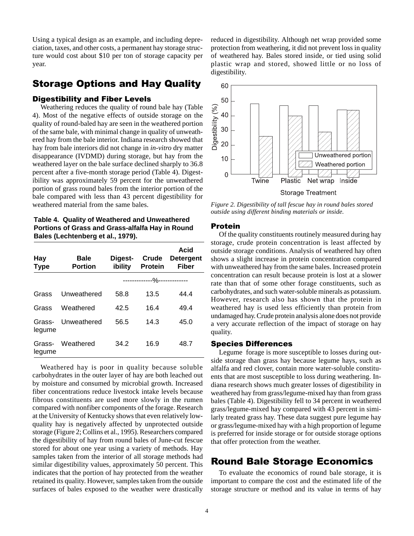Using a typical design as an example, and including depreciation, taxes, and other costs, a permanent hay storage structure would cost about \$10 per ton of storage capacity per year.

## Storage Options and Hay Quality

### Digestibility and Fiber Levels

Weathering reduces the quality of round bale hay (Table 4). Most of the negative effects of outside storage on the quality of round-baled hay are seen in the weathered portion of the same bale, with minimal change in quality of unweathered hay from the bale interior. Indiana research showed that hay from bale interiors did not change in *in-vitro* dry matter disappearance (IVDMD) during storage, but hay from the weathered layer on the bale surface declined sharply to 36.8 percent after a five-month storage period (Table 4). Digestibility was approximately 59 percent for the unweathered portion of grass round bales from the interior portion of the bale compared with less than 43 percent digestibility for weathered material from the same bales.

**Table 4. Quality of Weathered and Unweathered Portions of Grass and Grass-alfalfa Hay in Round Bales (Lechtenberg et al., 1979).**

| Hay<br><b>Type</b> | Bale<br><b>Portion</b> | Digest-<br>ibility | Crude<br><b>Protein</b>      | Acid<br><b>Detergent</b><br><b>Fiber</b> |
|--------------------|------------------------|--------------------|------------------------------|------------------------------------------|
|                    |                        |                    | --------------%------------- |                                          |
| Grass              | Unweathered            | 58.8               | 13.5                         | 44.4                                     |
| Grass              | Weathered              | 42.5               | 16.4                         | 49.4                                     |
| Grass-<br>legume   | Unweathered            | 56.5               | 14.3                         | 45.0                                     |
| Grass-<br>legume   | Weathered              | 34.2               | 16.9                         | 48.7                                     |

Weathered hay is poor in quality because soluble carbohydrates in the outer layer of hay are both leached out by moisture and consumed by microbial growth. Increased fiber concentrations reduce livestock intake levels because fibrous constituents are used more slowly in the rumen compared with nonfiber components of the forage. Research at the University of Kentucky shows that even relatively lowquality hay is negatively affected by unprotected outside storage (Figure 2; Collins et al., 1995). Researchers compared the digestibility of hay from round bales of June-cut fescue stored for about one year using a variety of methods. Hay samples taken from the interior of all storage methods had similar digestibility values, approximately 50 percent. This indicates that the portion of hay protected from the weather retained its quality. However, samples taken from the outside surfaces of bales exposed to the weather were drastically

reduced in digestibility. Although net wrap provided some protection from weathering, it did not prevent loss in quality of weathered hay. Bales stored inside, or tied using solid plastic wrap and stored, showed little or no loss of digestibility.



*Figure 2. Digestibility of tall fescue hay in round bales stored outside using different binding materials or inside.*

#### Protein

Of the quality constituents routinely measured during hay storage, crude protein concentration is least affected by outside storage conditions. Analysis of weathered hay often shows a slight increase in protein concentration compared with unweathered hay from the same bales. Increased protein concentration can result because protein is lost at a slower rate than that of some other forage constituents, such as carbohydrates, and such water-soluble minerals as potassium. However, research also has shown that the protein in weathered hay is used less efficiently than protein from undamaged hay. Crude protein analysis alone does not provide a very accurate reflection of the impact of storage on hay quality.

#### Species Differences

Legume forage is more susceptible to losses during outside storage than grass hay because legume hays, such as alfalfa and red clover, contain more water-soluble constituents that are most susceptible to loss during weathering. Indiana research shows much greater losses of digestibility in weathered hay from grass/legume-mixed hay than from grass bales (Table 4). Digestibility fell to 34 percent in weathered grass/legume-mixed hay compared with 43 percent in similarly treated grass hay. These data suggest pure legume hay or grass/legume-mixed hay with a high proportion of legume is preferred for inside storage or for outside storage options that offer protection from the weather.

### Round Bale Storage Economics

To evaluate the economics of round bale storage, it is important to compare the cost and the estimated life of the storage structure or method and its value in terms of hay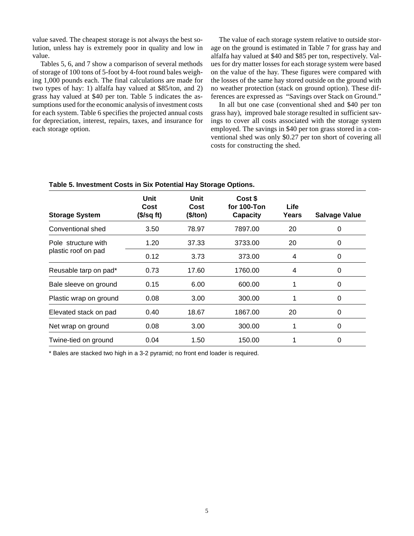value saved. The cheapest storage is not always the best solution, unless hay is extremely poor in quality and low in value.

Tables 5, 6, and 7 show a comparison of several methods of storage of 100 tons of 5-foot by 4-foot round bales weighing 1,000 pounds each. The final calculations are made for two types of hay: 1) alfalfa hay valued at \$85/ton, and 2) grass hay valued at \$40 per ton. Table 5 indicates the assumptions used for the economic analysis of investment costs for each system. Table 6 specifies the projected annual costs for depreciation, interest, repairs, taxes, and insurance for each storage option.

The value of each storage system relative to outside storage on the ground is estimated in Table 7 for grass hay and alfalfa hay valued at \$40 and \$85 per ton, respectively. Values for dry matter losses for each storage system were based on the value of the hay. These figures were compared with the losses of the same hay stored outside on the ground with no weather protection (stack on ground option). These differences are expressed as "Savings over Stack on Ground."

In all but one case (conventional shed and \$40 per ton grass hay), improved bale storage resulted in sufficient savings to cover all costs associated with the storage system employed. The savings in \$40 per ton grass stored in a conventional shed was only \$0.27 per ton short of covering all costs for constructing the shed.

| rapic of investment obsts in oix i otentiar hay otorage options. |                                    |                          |                                           |               |                      |  |  |  |
|------------------------------------------------------------------|------------------------------------|--------------------------|-------------------------------------------|---------------|----------------------|--|--|--|
| <b>Storage System</b>                                            | Unit<br>Cost<br>$($\sqrt{s}$ g ft) | Unit<br>Cost<br>(\$/ton) | Cost \$<br>for 100-Ton<br><b>Capacity</b> | Life<br>Years | <b>Salvage Value</b> |  |  |  |
| Conventional shed                                                | 3.50                               | 78.97                    | 7897.00                                   | 20            | 0                    |  |  |  |
| Pole structure with                                              | 1.20                               | 37.33                    | 3733.00                                   | 20            | 0                    |  |  |  |
| plastic roof on pad                                              | 0.12                               | 3.73                     | 373.00                                    | 4             | 0                    |  |  |  |
| Reusable tarp on pad*                                            | 0.73                               | 17.60                    | 1760.00                                   | 4             | 0                    |  |  |  |
| Bale sleeve on ground                                            | 0.15                               | 6.00                     | 600.00                                    |               | 0                    |  |  |  |
| Plastic wrap on ground                                           | 0.08                               | 3.00                     | 300.00                                    |               | 0                    |  |  |  |
| Elevated stack on pad                                            | 0.40                               | 18.67                    | 1867.00                                   | 20            | 0                    |  |  |  |
| Net wrap on ground                                               | 0.08                               | 3.00                     | 300.00                                    |               | 0                    |  |  |  |
| Twine-tied on ground                                             | 0.04                               | 1.50                     | 150.00                                    |               | 0                    |  |  |  |

**Table 5. Investment Costs in Six Potential Hay Storage Options.**

\* Bales are stacked two high in a 3-2 pyramid; no front end loader is required.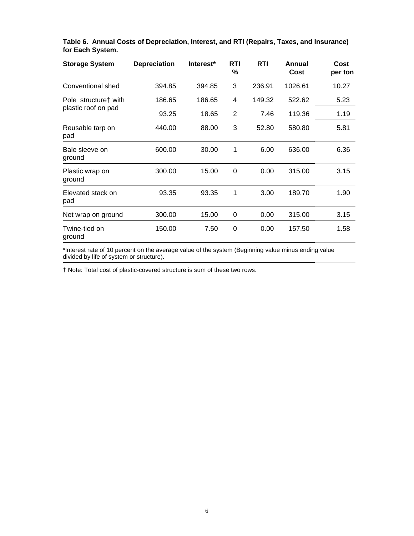| <b>Storage System</b>     | <b>Depreciation</b> | Interest* | <b>RTI</b><br>% | <b>RTI</b> | Annual<br>Cost | Cost<br>per ton |
|---------------------------|---------------------|-----------|-----------------|------------|----------------|-----------------|
| Conventional shed         | 394.85              | 394.85    | 3               | 236.91     | 1026.61        | 10.27           |
| Pole structure† with      | 186.65              | 186.65    | 4               | 149.32     | 522.62         | 5.23            |
| plastic roof on pad       | 93.25               | 18.65     | 2               | 7.46       | 119.36         | 1.19            |
| Reusable tarp on<br>pad   | 440.00              | 88.00     | 3               | 52.80      | 580.80         | 5.81            |
| Bale sleeve on<br>ground  | 600.00              | 30.00     | 1               | 6.00       | 636.00         | 6.36            |
| Plastic wrap on<br>ground | 300.00              | 15.00     | 0               | 0.00       | 315.00         | 3.15            |
| Elevated stack on<br>pad  | 93.35               | 93.35     | 1               | 3.00       | 189.70         | 1.90            |
| Net wrap on ground        | 300.00              | 15.00     | 0               | 0.00       | 315.00         | 3.15            |
| Twine-tied on<br>ground   | 150.00              | 7.50      | 0               | 0.00       | 157.50         | 1.58            |

**Table 6. Annual Costs of Depreciation, Interest, and RTI (Repairs, Taxes, and Insurance) for Each System.**

\*Interest rate of 10 percent on the average value of the system (Beginning value minus ending value divided by life of system or structure).

† Note: Total cost of plastic-covered structure is sum of these two rows.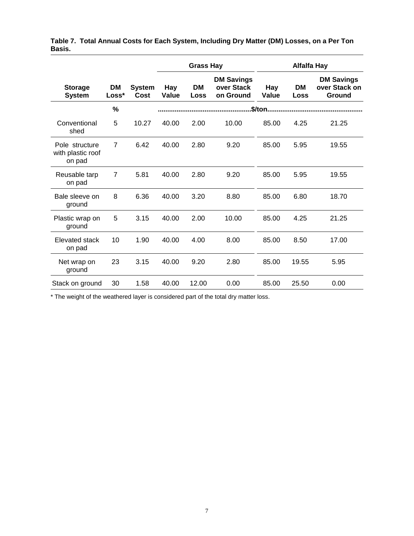|                                               |                |                       | <b>Grass Hay</b> |                   | <b>Alfalfa Hay</b>                           |              |                   |                                              |
|-----------------------------------------------|----------------|-----------------------|------------------|-------------------|----------------------------------------------|--------------|-------------------|----------------------------------------------|
| <b>Storage</b><br><b>System</b>               | DM<br>Loss*    | <b>System</b><br>Cost | Hay<br>Value     | <b>DM</b><br>Loss | <b>DM Savings</b><br>over Stack<br>on Ground | Hay<br>Value | <b>DM</b><br>Loss | <b>DM Savings</b><br>over Stack on<br>Ground |
|                                               | $\frac{0}{0}$  |                       |                  |                   |                                              | \$/ton       |                   |                                              |
| Conventional<br>shed                          | 5              | 10.27                 | 40.00            | 2.00              | 10.00                                        | 85.00        | 4.25              | 21.25                                        |
| Pole structure<br>with plastic roof<br>on pad | $\overline{7}$ | 6.42                  | 40.00            | 2.80              | 9.20                                         | 85.00        | 5.95              | 19.55                                        |
| Reusable tarp<br>on pad                       | 7              | 5.81                  | 40.00            | 2.80              | 9.20                                         | 85.00        | 5.95              | 19.55                                        |
| Bale sleeve on<br>ground                      | 8              | 6.36                  | 40.00            | 3.20              | 8.80                                         | 85.00        | 6.80              | 18.70                                        |
| Plastic wrap on<br>ground                     | 5              | 3.15                  | 40.00            | 2.00              | 10.00                                        | 85.00        | 4.25              | 21.25                                        |
| Elevated stack<br>on pad                      | 10             | 1.90                  | 40.00            | 4.00              | 8.00                                         | 85.00        | 8.50              | 17.00                                        |
| Net wrap on<br>ground                         | 23             | 3.15                  | 40.00            | 9.20              | 2.80                                         | 85.00        | 19.55             | 5.95                                         |
| Stack on ground                               | 30             | 1.58                  | 40.00            | 12.00             | 0.00                                         | 85.00        | 25.50             | 0.00                                         |

|        | Table 7.  Total Annual Costs for Each System, Including Dry Matter (DM) Losses, on a Per Ton |  |
|--------|----------------------------------------------------------------------------------------------|--|
| Basis. |                                                                                              |  |

\* The weight of the weathered layer is considered part of the total dry matter loss.